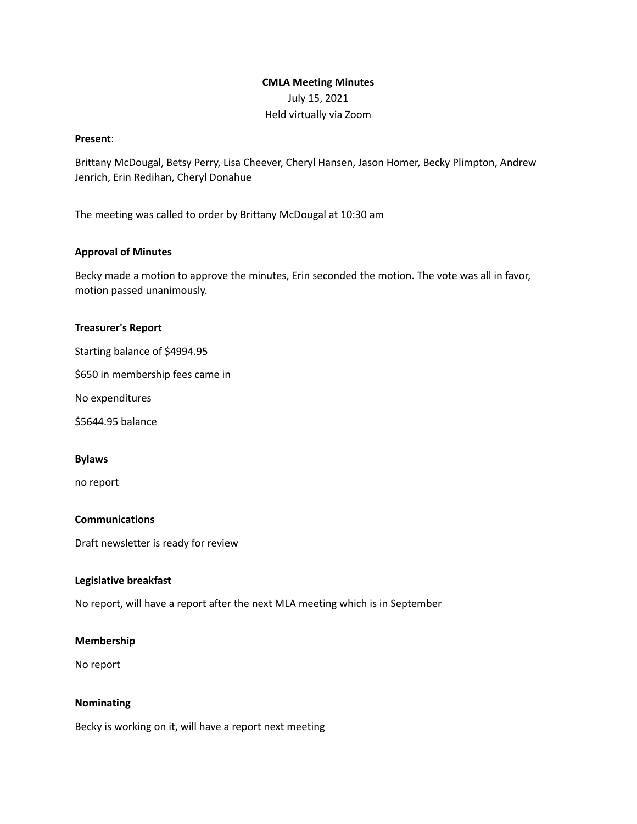# **CMLA Meeting Minutes** July 15, 2021 Held virtually via Zoom

### **Present**:

Brittany McDougal, Betsy Perry, Lisa Cheever, Cheryl Hansen, Jason Homer, Becky Plimpton, Andrew Jenrich, Erin Redihan, Cheryl Donahue

The meeting was called to order by Brittany McDougal at 10:30 am

# **Approval of Minutes**

Becky made a motion to approve the minutes, Erin seconded the motion. The vote was all in favor, motion passed unanimously.

### **Treasurer's Report**

Starting balance of \$4994.95

\$650 in membership fees came in

No expenditures

\$5644.95 balance

#### **Bylaws**

no report

# **Communications**

Draft newsletter is ready for review

# **Legislative breakfast**

No report, will have a report after the next MLA meeting which is in September

# **Membership**

No report

# **Nominating**

Becky is working on it, will have a report next meeting